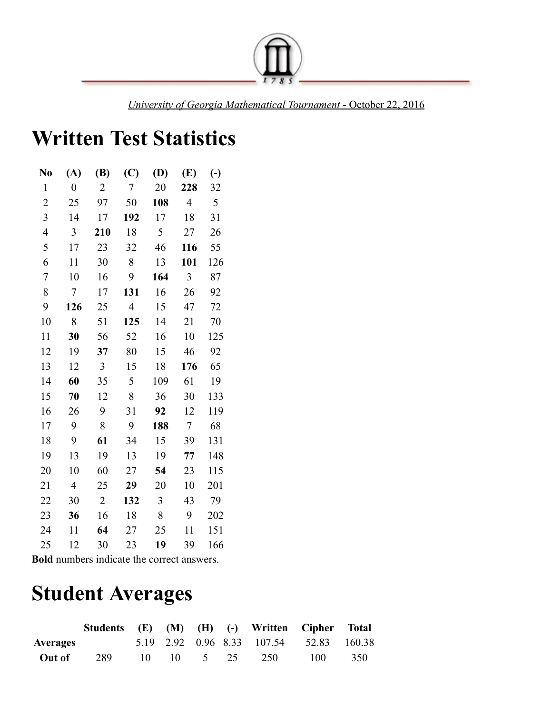

*University of Georgia Mathematical Tournament* October 22, 2016

## **Written Test Statistics**

| No             | (A)                     | (B)            | (C)            | (D) | (E)            | $\left( -\right)$ |
|----------------|-------------------------|----------------|----------------|-----|----------------|-------------------|
| 1              | $\boldsymbol{0}$        | $\overline{2}$ | 7              | 20  | 228            | 32                |
| $\overline{c}$ | 25                      | 97             | 50             | 108 | $\overline{4}$ | 5                 |
| 3              | 14                      | 17             | 192            | 17  | 18             | 31                |
| $\overline{4}$ | $\overline{\mathbf{3}}$ | 210            | 18             | 5   | 27             | 26                |
| 5              | 17                      | 23             | 32             | 46  | 116            | 55                |
| 6              | 11                      | 30             | 8              | 13  | 101            | 126               |
| 7              | 10                      | 16             | 9              | 164 | 3              | 87                |
| 8              | $\boldsymbol{7}$        | 17             | 131            | 16  | 26             | 92                |
| 9              | 126                     | 25             | $\overline{4}$ | 15  | 47             | 72                |
| 10             | 8                       | 51             | 125            | 14  | 21             | 70                |
| 11             | 30                      | 56             | 52             | 16  | 10             | 125               |
| 12             | 19                      | 37             | 80             | 15  | 46             | 92                |
| 13             | 12                      | 3              | 15             | 18  | 176            | 65                |
| 14             | 60                      | 35             | 5              | 109 | 61             | 19                |
| 15             | 70                      | 12             | 8              | 36  | 30             | 133               |
| 16             | 26                      | 9              | 31             | 92  | 12             | 119               |
| 17             | 9                       | 8              | 9              | 188 | $\tau$         | 68                |
| 18             | 9                       | 61             | 34             | 15  | 39             | 131               |
| 19             | 13                      | 19             | 13             | 19  | 77             | 148               |
| 20             | 10                      | 60             | 27             | 54  | 23             | 115               |
| 21             | $\overline{4}$          | 25             | 29             | 20  | 10             | 201               |
| 22             | 30                      | $\overline{2}$ | 132            | 3   | 43             | 79                |
| 23             | 36                      | 16             | 18             | 8   | 9              | 202               |
| 24             | 11                      | 64             | 27             | 25  | 11             | 151               |
| 25             | 12                      | 30             | 23             | 19  | 39             | 166               |

**Bold** numbers indicate the correct answers.

## **Student Averages**

|                 | Students (E) (M) (H) (-) Written Cipher Total |  |  |                                         |         |     |
|-----------------|-----------------------------------------------|--|--|-----------------------------------------|---------|-----|
| <b>Averages</b> |                                               |  |  | 5.19 2.92 0.96 8.33 107.54 52.83 160.38 |         |     |
| Out of          | 289                                           |  |  | 10 10 5 25 250                          | $100 -$ | 350 |